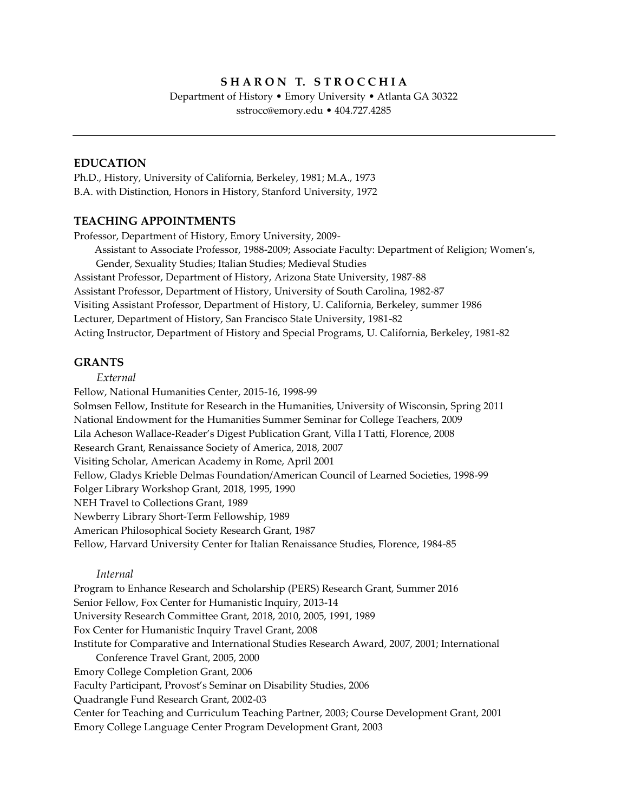### **S H A R O N T. S T R O C C H I A**

Department of History • Emory University • Atlanta GA 30322 sstrocc@emory.edu • 404.727.4285

### **EDUCATION**

Ph.D., History, University of California, Berkeley, 1981; M.A., 1973 B.A. with Distinction, Honors in History, Stanford University, 1972

### **TEACHING APPOINTMENTS**

Professor, Department of History, Emory University, 2009- Assistant to Associate Professor, 1988-2009; Associate Faculty: Department of Religion; Women's, Gender, Sexuality Studies; Italian Studies; Medieval Studies Assistant Professor, Department of History, Arizona State University, 1987-88 Assistant Professor, Department of History, University of South Carolina, 1982-87

Visiting Assistant Professor, Department of History, U. California, Berkeley, summer 1986 Lecturer, Department of History, San Francisco State University, 1981-82

Acting Instructor, Department of History and Special Programs, U. California, Berkeley, 1981-82

### **GRANTS**

### *External*

Fellow, National Humanities Center, 2015-16, 1998-99 Solmsen Fellow, Institute for Research in the Humanities, University of Wisconsin, Spring 2011 National Endowment for the Humanities Summer Seminar for College Teachers, 2009 Lila Acheson Wallace-Reader's Digest Publication Grant, Villa I Tatti, Florence, 2008 Research Grant, Renaissance Society of America, 2018, 2007 Visiting Scholar, American Academy in Rome, April 2001 Fellow, Gladys Krieble Delmas Foundation/American Council of Learned Societies, 1998-99 Folger Library Workshop Grant, 2018, 1995, 1990 NEH Travel to Collections Grant, 1989 Newberry Library Short-Term Fellowship, 1989 American Philosophical Society Research Grant, 1987 Fellow, Harvard University Center for Italian Renaissance Studies, Florence, 1984-85

### *Internal*

Program to Enhance Research and Scholarship (PERS) Research Grant, Summer 2016 Senior Fellow, Fox Center for Humanistic Inquiry, 2013-14 University Research Committee Grant, 2018, 2010, 2005, 1991, 1989 Fox Center for Humanistic Inquiry Travel Grant, 2008 Institute for Comparative and International Studies Research Award, 2007, 2001; International Conference Travel Grant, 2005, 2000 Emory College Completion Grant, 2006 Faculty Participant, Provost's Seminar on Disability Studies, 2006 Quadrangle Fund Research Grant, 2002-03 Center for Teaching and Curriculum Teaching Partner, 2003; Course Development Grant, 2001 Emory College Language Center Program Development Grant, 2003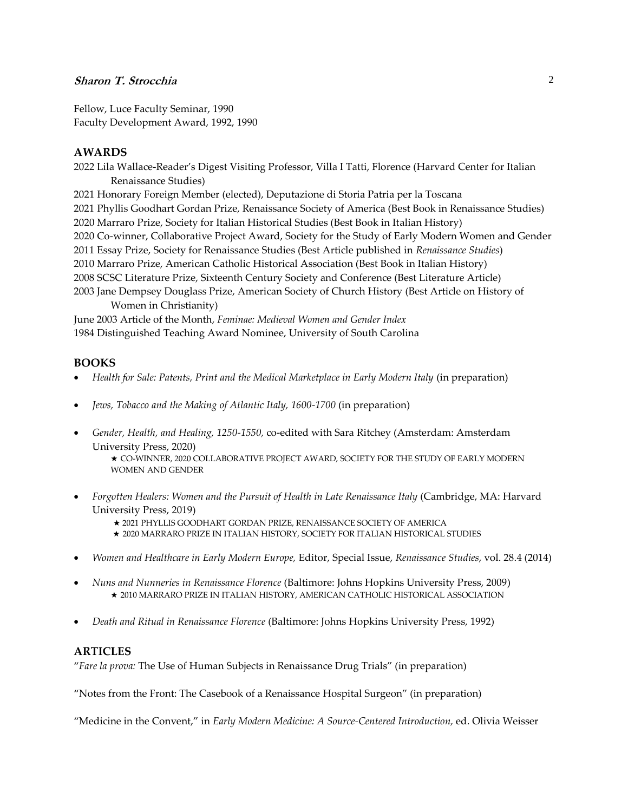Fellow, Luce Faculty Seminar, 1990 Faculty Development Award, 1992, 1990

### **AWARDS**

2022 Lila Wallace-Reader's Digest Visiting Professor, Villa I Tatti, Florence (Harvard Center for Italian Renaissance Studies)

2021 Honorary Foreign Member (elected), Deputazione di Storia Patria per la Toscana 2021 Phyllis Goodhart Gordan Prize, Renaissance Society of America (Best Book in Renaissance Studies) 2020 Marraro Prize, Society for Italian Historical Studies (Best Book in Italian History) 2020 Co-winner, Collaborative Project Award, Society for the Study of Early Modern Women and Gender 2011 Essay Prize, Society for Renaissance Studies (Best Article published in *Renaissance Studies*) 2010 Marraro Prize, American Catholic Historical Association (Best Book in Italian History) 2008 SCSC Literature Prize, Sixteenth Century Society and Conference (Best Literature Article) 2003 Jane Dempsey Douglass Prize, American Society of Church History (Best Article on History of Women in Christianity)

June 2003 Article of the Month, *Feminae: Medieval Women and Gender Index* 1984 Distinguished Teaching Award Nominee, University of South Carolina

### **BOOKS**

- Health for Sale: Patents, Print and the Medical Marketplace in Early Modern Italy (in preparation)
- *Jews, Tobacco and the Making of Atlantic Italy, 1600-1700* (in preparation)
- *Gender, Health, and Healing, 1250-1550,* co-edited with Sara Ritchey (Amsterdam: Amsterdam University Press, 2020)

★ CO-WINNER, 2020 COLLABORATIVE PROJECT AWARD, SOCIETY FOR THE STUDY OF EARLY MODERN WOMEN AND GENDER

- *Forgotten Healers: Women and the Pursuit of Health in Late Renaissance Italy* (Cambridge, MA: Harvard University Press, 2019)
	- ★ 2021 PHYLLIS GOODHART GORDAN PRIZE, RENAISSANCE SOCIETY OF AMERICA
	- ★ 2020 MARRARO PRIZE IN ITALIAN HISTORY, SOCIETY FOR ITALIAN HISTORICAL STUDIES
- *Women and Healthcare in Early Modern Europe,* Editor, Special Issue, *Renaissance Studies*, vol. 28.4 (2014)
- *Nuns and Nunneries in Renaissance Florence* (Baltimore: Johns Hopkins University Press, 2009) ★ 2010 MARRARO PRIZE IN ITALIAN HISTORY, AMERICAN CATHOLIC HISTORICAL ASSOCIATION
- *Death and Ritual in Renaissance Florence* (Baltimore: Johns Hopkins University Press, 1992)

### **ARTICLES**

"*Fare la prova:* The Use of Human Subjects in Renaissance Drug Trials" (in preparation)

"Notes from the Front: The Casebook of a Renaissance Hospital Surgeon" (in preparation)

"Medicine in the Convent," in *Early Modern Medicine: A Source-Centered Introduction,* ed. Olivia Weisser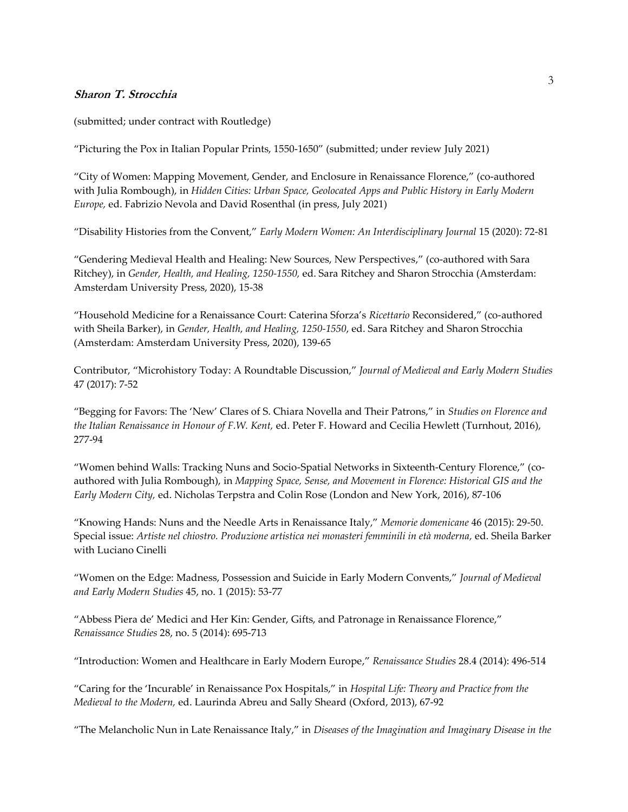(submitted; under contract with Routledge)

"Picturing the Pox in Italian Popular Prints, 1550-1650" (submitted; under review July 2021)

"City of Women: Mapping Movement, Gender, and Enclosure in Renaissance Florence," (co-authored with Julia Rombough), in *Hidden Cities: Urban Space, Geolocated Apps and Public History in Early Modern Europe,* ed. Fabrizio Nevola and David Rosenthal (in press, July 2021)

"Disability Histories from the Convent," *Early Modern Women: An Interdisciplinary Journal* 15 (2020): 72-81

"Gendering Medieval Health and Healing: New Sources, New Perspectives," (co-authored with Sara Ritchey), in *Gender, Health, and Healing, 1250-1550,* ed. Sara Ritchey and Sharon Strocchia (Amsterdam: Amsterdam University Press, 2020), 15-38

"Household Medicine for a Renaissance Court: Caterina Sforza's *Ricettario* Reconsidered," (co-authored with Sheila Barker), in *Gender, Health, and Healing, 1250-1550*, ed. Sara Ritchey and Sharon Strocchia (Amsterdam: Amsterdam University Press, 2020), 139-65

Contributor, "Microhistory Today: A Roundtable Discussion," *Journal of Medieval and Early Modern Studies*  47 (2017): 7-52

"Begging for Favors: The 'New' Clares of S. Chiara Novella and Their Patrons," in *Studies on Florence and the Italian Renaissance in Honour of F.W. Kent,* ed. Peter F. Howard and Cecilia Hewlett (Turnhout, 2016), 277-94

"Women behind Walls: Tracking Nuns and Socio-Spatial Networks in Sixteenth-Century Florence," (coauthored with Julia Rombough), in *Mapping Space, Sense, and Movement in Florence: Historical GIS and the Early Modern City,* ed. Nicholas Terpstra and Colin Rose (London and New York, 2016), 87-106

"Knowing Hands: Nuns and the Needle Arts in Renaissance Italy," *Memorie domenicane* 46 (2015): 29-50. Special issue: *Artiste nel chiostro. Produzione artistica nei monasteri femminili in età moderna,* ed. Sheila Barker with Luciano Cinelli

"Women on the Edge: Madness, Possession and Suicide in Early Modern Convents," *Journal of Medieval and Early Modern Studies* 45, no. 1 (2015): 53-77

"Abbess Piera de' Medici and Her Kin: Gender, Gifts, and Patronage in Renaissance Florence," *Renaissance Studies* 28, no. 5 (2014): 695-713

"Introduction: Women and Healthcare in Early Modern Europe," *Renaissance Studies* 28.4 (2014): 496-514

"Caring for the 'Incurable' in Renaissance Pox Hospitals," in *Hospital Life: Theory and Practice from the Medieval to the Modern,* ed. Laurinda Abreu and Sally Sheard (Oxford, 2013), 67-92

"The Melancholic Nun in Late Renaissance Italy," in *Diseases of the Imagination and Imaginary Disease in the*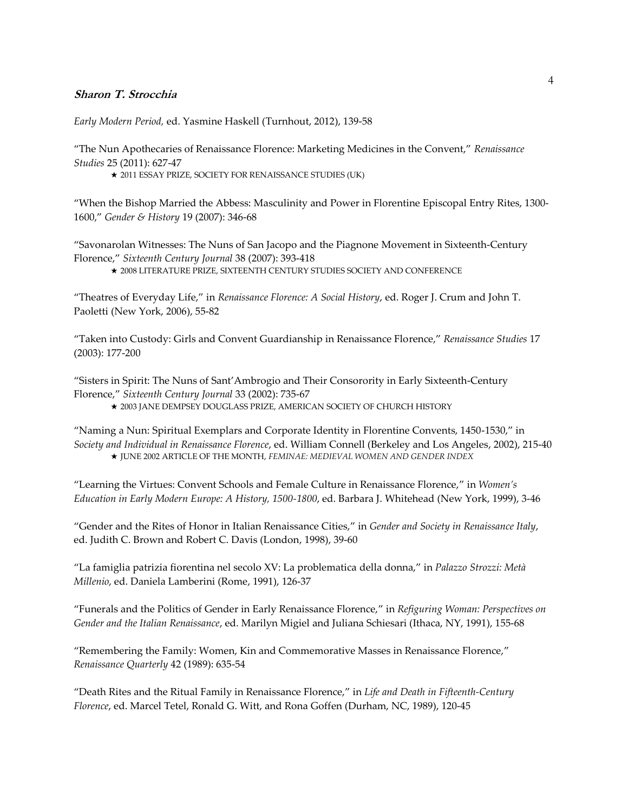*Early Modern Period,* ed. Yasmine Haskell (Turnhout, 2012), 139-58

"The Nun Apothecaries of Renaissance Florence: Marketing Medicines in the Convent," *Renaissance Studies* 25 (2011): 627-47

★ 2011 ESSAY PRIZE, SOCIETY FOR RENAISSANCE STUDIES (UK)

"When the Bishop Married the Abbess: Masculinity and Power in Florentine Episcopal Entry Rites, 1300- 1600," *Gender & History* 19 (2007): 346-68

"Savonarolan Witnesses: The Nuns of San Jacopo and the Piagnone Movement in Sixteenth-Century Florence," *Sixteenth Century Journal* 38 (2007): 393-418

★ 2008 LITERATURE PRIZE, SIXTEENTH CENTURY STUDIES SOCIETY AND CONFERENCE

"Theatres of Everyday Life," in *Renaissance Florence: A Social History*, ed. Roger J. Crum and John T. Paoletti (New York, 2006), 55-82

"Taken into Custody: Girls and Convent Guardianship in Renaissance Florence," *Renaissance Studies* 17 (2003): 177-200

"Sisters in Spirit: The Nuns of Sant'Ambrogio and Their Consorority in Early Sixteenth-Century Florence," *Sixteenth Century Journal* 33 (2002): 735-67

★ 2003 JANE DEMPSEY DOUGLASS PRIZE, AMERICAN SOCIETY OF CHURCH HISTORY

"Naming a Nun: Spiritual Exemplars and Corporate Identity in Florentine Convents, 1450-1530," in *Society and Individual in Renaissance Florence*, ed. William Connell (Berkeley and Los Angeles, 2002), 215-40 ★ JUNE 2002 ARTICLE OF THE MONTH, *FEMINAE: MEDIEVAL WOMEN AND GENDER INDEX*

"Learning the Virtues: Convent Schools and Female Culture in Renaissance Florence," in *Women's Education in Early Modern Europe: A History, 1500-1800*, ed. Barbara J. Whitehead (New York, 1999), 3-46

"Gender and the Rites of Honor in Italian Renaissance Cities," in *Gender and Society in Renaissance Italy*, ed. Judith C. Brown and Robert C. Davis (London, 1998), 39-60

"La famiglia patrizia fiorentina nel secolo XV: La problematica della donna," in *Palazzo Strozzi: Metà Millenio*, ed. Daniela Lamberini (Rome, 1991), 126-37

"Funerals and the Politics of Gender in Early Renaissance Florence," in *Refiguring Woman: Perspectives on Gender and the Italian Renaissance*, ed. Marilyn Migiel and Juliana Schiesari (Ithaca, NY, 1991), 155-68

"Remembering the Family: Women, Kin and Commemorative Masses in Renaissance Florence," *Renaissance Quarterly* 42 (1989): 635-54

"Death Rites and the Ritual Family in Renaissance Florence," in *Life and Death in Fifteenth-Century Florence*, ed. Marcel Tetel, Ronald G. Witt, and Rona Goffen (Durham, NC, 1989), 120-45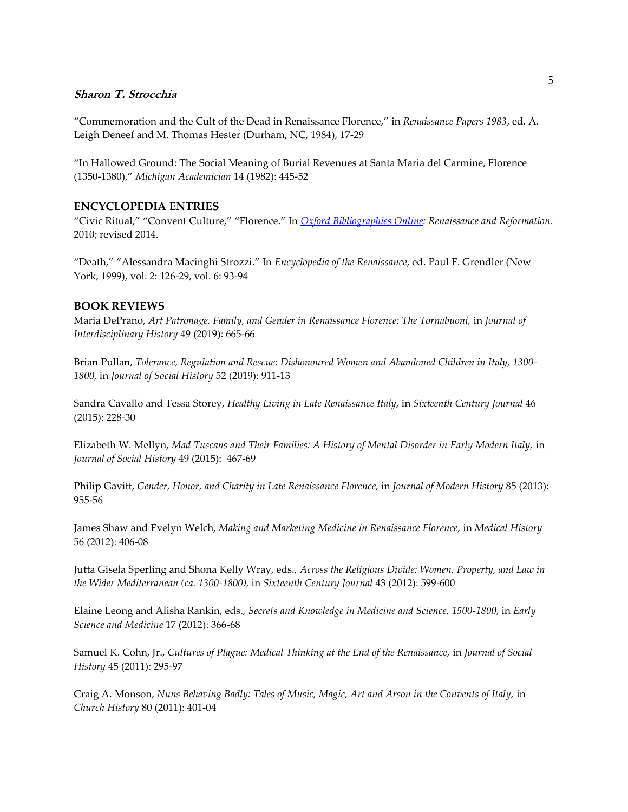"Commemoration and the Cult of the Dead in Renaissance Florence," in *Renaissance Papers 1983*, ed. A. Leigh Deneef and M. Thomas Hester (Durham, NC, 1984), 17-29

"In Hallowed Ground: The Social Meaning of Burial Revenues at Santa Maria del Carmine, Florence (1350-1380)," *Michigan Academician* 14 (1982): 445-52

### **ENCYCLOPEDIA ENTRIES**

"Civic Ritual," "Convent Culture," "Florence." In *Oxford Bibliographies Online: Renaissance and Reformation*. 2010; revised 2014.

"Death," "Alessandra Macinghi Strozzi." In *Encyclopedia of the Renaissance*, ed. Paul F. Grendler (New York, 1999), vol. 2: 126-29, vol. 6: 93-94

### **BOOK REVIEWS**

Maria DePrano, *Art Patronage, Family, and Gender in Renaissance Florence: The Tornabuoni,* in *Journal of Interdisciplinary History* 49 (2019): 665-66

Brian Pullan, *Tolerance, Regulation and Rescue: Dishonoured Women and Abandoned Children in Italy, 1300- 1800,* in *Journal of Social History* 52 (2019): 911-13

Sandra Cavallo and Tessa Storey, *Healthy Living in Late Renaissance Italy,* in *Sixteenth Century Journal* 46 (2015): 228-30

Elizabeth W. Mellyn, *Mad Tuscans and Their Families: A History of Mental Disorder in Early Modern Italy,* in *Journal of Social History* 49 (2015): 467-69

Philip Gavitt, *Gender, Honor, and Charity in Late Renaissance Florence,* in *Journal of Modern History* 85 (2013): 955-56

James Shaw and Evelyn Welch, *Making and Marketing Medicine in Renaissance Florence,* in *Medical History*  56 (2012): 406-08

Jutta Gisela Sperling and Shona Kelly Wray, eds., *Across the Religious Divide: Women, Property, and Law in the Wider Mediterranean (ca. 1300-1800),* in *Sixteenth Century Journal* 43 (2012): 599-600

Elaine Leong and Alisha Rankin, eds., *Secrets and Knowledge in Medicine and Science, 1500-1800*, in *Early Science and Medicine* 17 (2012): 366-68

Samuel K. Cohn, Jr., *Cultures of Plague: Medical Thinking at the End of the Renaissance, in Journal of Social History* 45 (2011): 295-97

Craig A. Monson, *Nuns Behaving Badly: Tales of Music, Magic, Art and Arson in the Convents of Italy,* in *Church History* 80 (2011): 401-04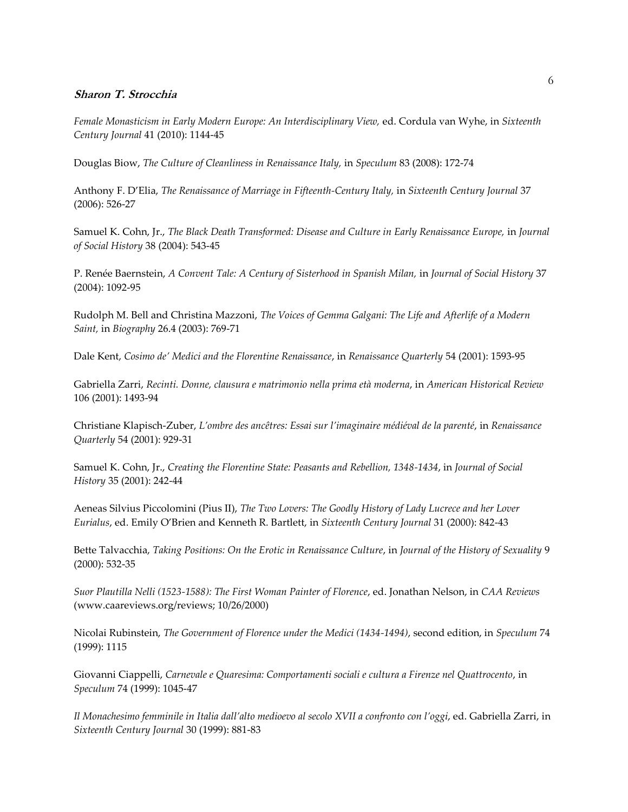*Female Monasticism in Early Modern Europe: An Interdisciplinary View,* ed. Cordula van Wyhe, in *Sixteenth Century Journal* 41 (2010): 1144-45

Douglas Biow, *The Culture of Cleanliness in Renaissance Italy,* in *Speculum* 83 (2008): 172-74

Anthony F. D'Elia, *The Renaissance of Marriage in Fifteenth-Century Italy,* in *Sixteenth Century Journal* 37 (2006): 526-27

Samuel K. Cohn, Jr., *The Black Death Transformed: Disease and Culture in Early Renaissance Europe,* in *Journal of Social History* 38 (2004): 543-45

P. Renée Baernstein, *A Convent Tale: A Century of Sisterhood in Spanish Milan,* in *Journal of Social History* 37 (2004): 1092-95

Rudolph M. Bell and Christina Mazzoni, *The Voices of Gemma Galgani: The Life and Afterlife of a Modern Saint,* in *Biography* 26.4 (2003): 769-71

Dale Kent, *Cosimo de' Medici and the Florentine Renaissance*, in *Renaissance Quarterly* 54 (2001): 1593-95

Gabriella Zarri, *Recinti. Donne, clausura e matrimonio nella prima età moderna*, in *American Historical Review*  106 (2001): 1493-94

Christiane Klapisch-Zuber, *L'ombre des ancêtres: Essai sur l'imaginaire médiéval de la parenté*, in *Renaissance Quarterly* 54 (2001): 929-31

Samuel K. Cohn, Jr., *Creating the Florentine State: Peasants and Rebellion, 1348-1434*, in *Journal of Social History* 35 (2001): 242-44

Aeneas Silvius Piccolomini (Pius II), *The Two Lovers: The Goodly History of Lady Lucrece and her Lover Eurialus*, ed. Emily O'Brien and Kenneth R. Bartlett, in *Sixteenth Century Journal* 31 (2000): 842-43

Bette Talvacchia, *Taking Positions: On the Erotic in Renaissance Culture*, in *Journal of the History of Sexuality* 9 (2000): 532-35

*Suor Plautilla Nelli (1523-1588): The First Woman Painter of Florence*, ed. Jonathan Nelson, in *CAA Reviews* (www.caareviews.org/reviews; 10/26/2000)

Nicolai Rubinstein, *The Government of Florence under the Medici (1434-1494)*, second edition, in *Speculum* 74 (1999): 1115

Giovanni Ciappelli, *Carnevale e Quaresima: Comportamenti sociali e cultura a Firenze nel Quattrocento*, in *Speculum* 74 (1999): 1045-47

*Il Monachesimo femminile in Italia dall'alto medioevo al secolo XVII a confronto con l'oggi*, ed. Gabriella Zarri, in *Sixteenth Century Journal* 30 (1999): 881-83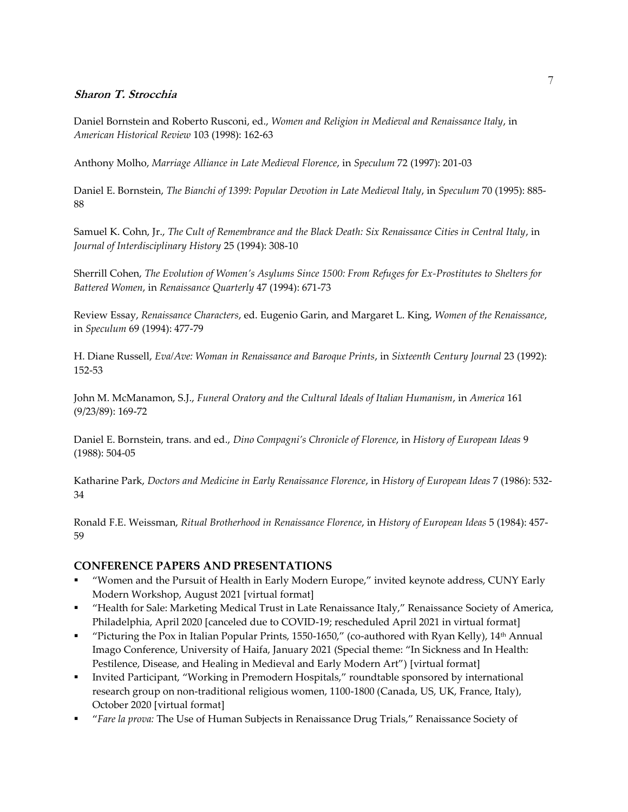Daniel Bornstein and Roberto Rusconi, ed., *Women and Religion in Medieval and Renaissance Italy*, in *American Historical Review* 103 (1998): 162-63

Anthony Molho, *Marriage Alliance in Late Medieval Florence*, in *Speculum* 72 (1997): 201-03

Daniel E. Bornstein, *The Bianchi of 1399: Popular Devotion in Late Medieval Italy*, in *Speculum* 70 (1995): 885- 88

Samuel K. Cohn, Jr., *The Cult of Remembrance and the Black Death: Six Renaissance Cities in Central Italy*, in *Journal of Interdisciplinary History* 25 (1994): 308-10

Sherrill Cohen, *The Evolution of Women's Asylums Since 1500: From Refuges for Ex-Prostitutes to Shelters for Battered Women*, in *Renaissance Quarterly* 47 (1994): 671-73

Review Essay, *Renaissance Characters*, ed. Eugenio Garin, and Margaret L. King, *Women of the Renaissance*, in *Speculum* 69 (1994): 477-79

H. Diane Russell, *Eva/Ave: Woman in Renaissance and Baroque Prints*, in *Sixteenth Century Journal* 23 (1992): 152-53

John M. McManamon, S.J., *Funeral Oratory and the Cultural Ideals of Italian Humanism*, in *America* 161 (9/23/89): 169-72

Daniel E. Bornstein, trans. and ed., *Dino Compagni's Chronicle of Florence*, in *History of European Ideas* 9 (1988): 504-05

Katharine Park, *Doctors and Medicine in Early Renaissance Florence*, in *History of European Ideas* 7 (1986): 532- 34

Ronald F.E. Weissman, *Ritual Brotherhood in Renaissance Florence*, in *History of European Ideas* 5 (1984): 457- 59

### **CONFERENCE PAPERS AND PRESENTATIONS**

- "Women and the Pursuit of Health in Early Modern Europe," invited keynote address, CUNY Early Modern Workshop, August 2021 [virtual format]
- "Health for Sale: Marketing Medical Trust in Late Renaissance Italy," Renaissance Society of America, Philadelphia, April 2020 [canceled due to COVID-19; rescheduled April 2021 in virtual format]
- " "Picturing the Pox in Italian Popular Prints, 1550-1650," (co-authored with Ryan Kelly),  $14<sup>th</sup>$  Annual Imago Conference, University of Haifa, January 2021 (Special theme: "In Sickness and In Health: Pestilence, Disease, and Healing in Medieval and Early Modern Art") [virtual format]
- Invited Participant, "Working in Premodern Hospitals," roundtable sponsored by international research group on non-traditional religious women, 1100-1800 (Canada, US, UK, France, Italy), October 2020 [virtual format]
- "*Fare la prova:* The Use of Human Subjects in Renaissance Drug Trials," Renaissance Society of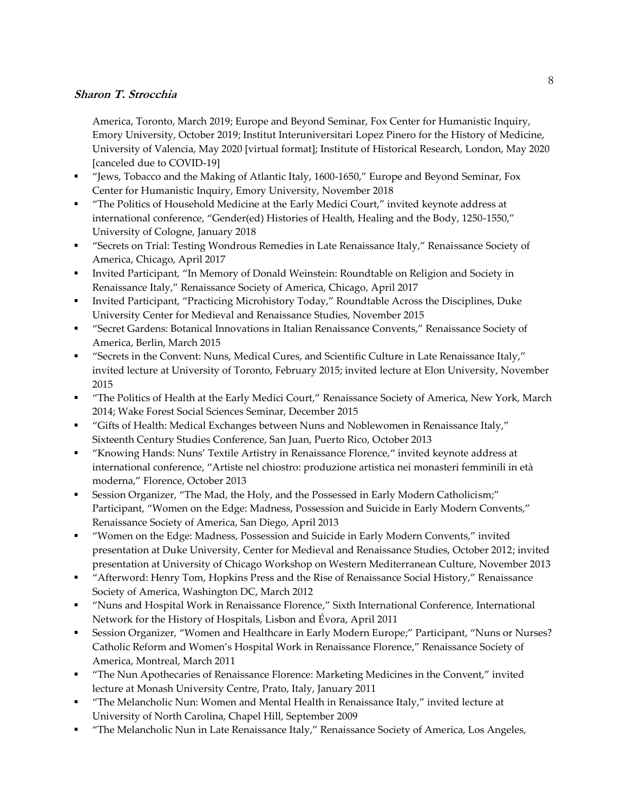America, Toronto, March 2019; Europe and Beyond Seminar, Fox Center for Humanistic Inquiry, Emory University, October 2019; Institut Interuniversitari Lopez Pinero for the History of Medicine, University of Valencia, May 2020 [virtual format]; Institute of Historical Research, London, May 2020 [canceled due to COVID-19]

- "Jews, Tobacco and the Making of Atlantic Italy, 1600-1650," Europe and Beyond Seminar, Fox Center for Humanistic Inquiry, Emory University, November 2018
- "The Politics of Household Medicine at the Early Medici Court," invited keynote address at international conference, "Gender(ed) Histories of Health, Healing and the Body, 1250-1550," University of Cologne, January 2018
- "Secrets on Trial: Testing Wondrous Remedies in Late Renaissance Italy," Renaissance Society of America, Chicago, April 2017
- Invited Participant, "In Memory of Donald Weinstein: Roundtable on Religion and Society in Renaissance Italy," Renaissance Society of America, Chicago, April 2017
- Invited Participant, "Practicing Microhistory Today," Roundtable Across the Disciplines, Duke University Center for Medieval and Renaissance Studies, November 2015
- "Secret Gardens: Botanical Innovations in Italian Renaissance Convents," Renaissance Society of America, Berlin, March 2015
- "Secrets in the Convent: Nuns, Medical Cures, and Scientific Culture in Late Renaissance Italy," invited lecture at University of Toronto, February 2015; invited lecture at Elon University, November 2015
- "The Politics of Health at the Early Medici Court," Renaissance Society of America, New York, March 2014; Wake Forest Social Sciences Seminar, December 2015
- "Gifts of Health: Medical Exchanges between Nuns and Noblewomen in Renaissance Italy," Sixteenth Century Studies Conference, San Juan, Puerto Rico, October 2013
- "Knowing Hands: Nuns' Textile Artistry in Renaissance Florence," invited keynote address at international conference, "Artiste nel chiostro: produzione artistica nei monasteri femminili in età moderna," Florence, October 2013
- Session Organizer, "The Mad, the Holy, and the Possessed in Early Modern Catholicism;" Participant, "Women on the Edge: Madness, Possession and Suicide in Early Modern Convents," Renaissance Society of America, San Diego, April 2013
- "Women on the Edge: Madness, Possession and Suicide in Early Modern Convents," invited presentation at Duke University, Center for Medieval and Renaissance Studies, October 2012; invited presentation at University of Chicago Workshop on Western Mediterranean Culture, November 2013
- "Afterword: Henry Tom, Hopkins Press and the Rise of Renaissance Social History," Renaissance Society of America, Washington DC, March 2012
- "Nuns and Hospital Work in Renaissance Florence," Sixth International Conference, International Network for the History of Hospitals, Lisbon and Évora, April 2011
- Session Organizer, "Women and Healthcare in Early Modern Europe;" Participant, "Nuns or Nurses? Catholic Reform and Women's Hospital Work in Renaissance Florence," Renaissance Society of America, Montreal, March 2011
- **The Nun Apothecaries of Renaissance Florence: Marketing Medicines in the Convent," invited** lecture at Monash University Centre, Prato, Italy, January 2011
- "The Melancholic Nun: Women and Mental Health in Renaissance Italy," invited lecture at University of North Carolina, Chapel Hill, September 2009
- "The Melancholic Nun in Late Renaissance Italy," Renaissance Society of America, Los Angeles,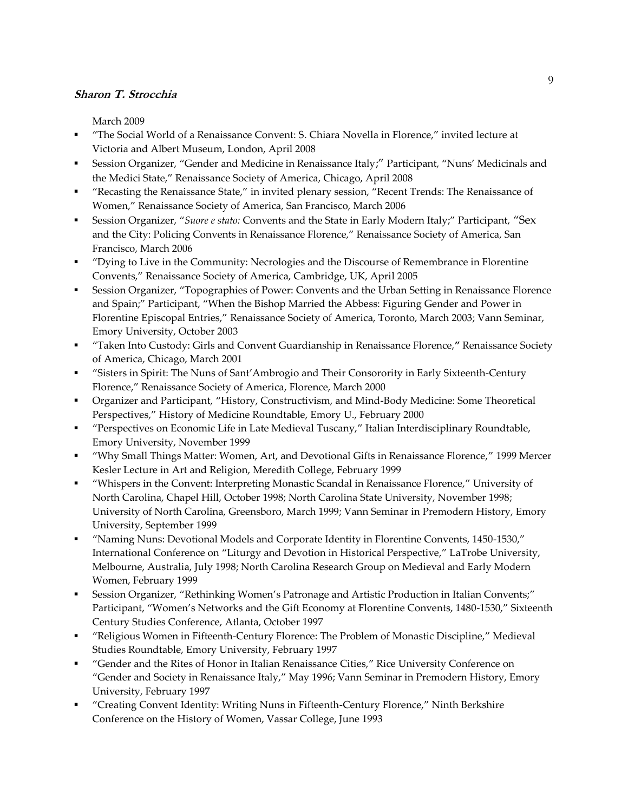March 2009

- "The Social World of a Renaissance Convent: S. Chiara Novella in Florence," invited lecture at Victoria and Albert Museum, London, April 2008
- Session Organizer, "Gender and Medicine in Renaissance Italy;" Participant, "Nuns' Medicinals and the Medici State," Renaissance Society of America, Chicago, April 2008
- "Recasting the Renaissance State," in invited plenary session, "Recent Trends: The Renaissance of Women," Renaissance Society of America, San Francisco, March 2006
- Session Organizer, "*Suore e stato:* Convents and the State in Early Modern Italy;" Participant, "Sex and the City: Policing Convents in Renaissance Florence," Renaissance Society of America, San Francisco, March 2006
- "Dying to Live in the Community: Necrologies and the Discourse of Remembrance in Florentine Convents," Renaissance Society of America, Cambridge, UK, April 2005
- Session Organizer, "Topographies of Power: Convents and the Urban Setting in Renaissance Florence and Spain;" Participant, "When the Bishop Married the Abbess: Figuring Gender and Power in Florentine Episcopal Entries," Renaissance Society of America, Toronto, March 2003; Vann Seminar, Emory University, October 2003
- "Taken Into Custody: Girls and Convent Guardianship in Renaissance Florence,**"** Renaissance Society of America, Chicago, March 2001
- "Sisters in Spirit: The Nuns of Sant'Ambrogio and Their Consorority in Early Sixteenth-Century Florence," Renaissance Society of America, Florence, March 2000
- Organizer and Participant, "History, Constructivism, and Mind-Body Medicine: Some Theoretical Perspectives," History of Medicine Roundtable, Emory U., February 2000
- "Perspectives on Economic Life in Late Medieval Tuscany," Italian Interdisciplinary Roundtable, Emory University, November 1999
- "Why Small Things Matter: Women, Art, and Devotional Gifts in Renaissance Florence," 1999 Mercer Kesler Lecture in Art and Religion, Meredith College, February 1999
- "Whispers in the Convent: Interpreting Monastic Scandal in Renaissance Florence," University of North Carolina, Chapel Hill, October 1998; North Carolina State University, November 1998; University of North Carolina, Greensboro, March 1999; Vann Seminar in Premodern History, Emory University, September 1999
- "Naming Nuns: Devotional Models and Corporate Identity in Florentine Convents, 1450-1530," International Conference on "Liturgy and Devotion in Historical Perspective," LaTrobe University, Melbourne, Australia, July 1998; North Carolina Research Group on Medieval and Early Modern Women, February 1999
- Session Organizer, "Rethinking Women's Patronage and Artistic Production in Italian Convents;" Participant, "Women's Networks and the Gift Economy at Florentine Convents, 1480-1530," Sixteenth Century Studies Conference, Atlanta, October 1997
- "Religious Women in Fifteenth-Century Florence: The Problem of Monastic Discipline," Medieval Studies Roundtable, Emory University, February 1997
- "Gender and the Rites of Honor in Italian Renaissance Cities," Rice University Conference on "Gender and Society in Renaissance Italy," May 1996; Vann Seminar in Premodern History, Emory University, February 1997
- "Creating Convent Identity: Writing Nuns in Fifteenth-Century Florence," Ninth Berkshire Conference on the History of Women, Vassar College, June 1993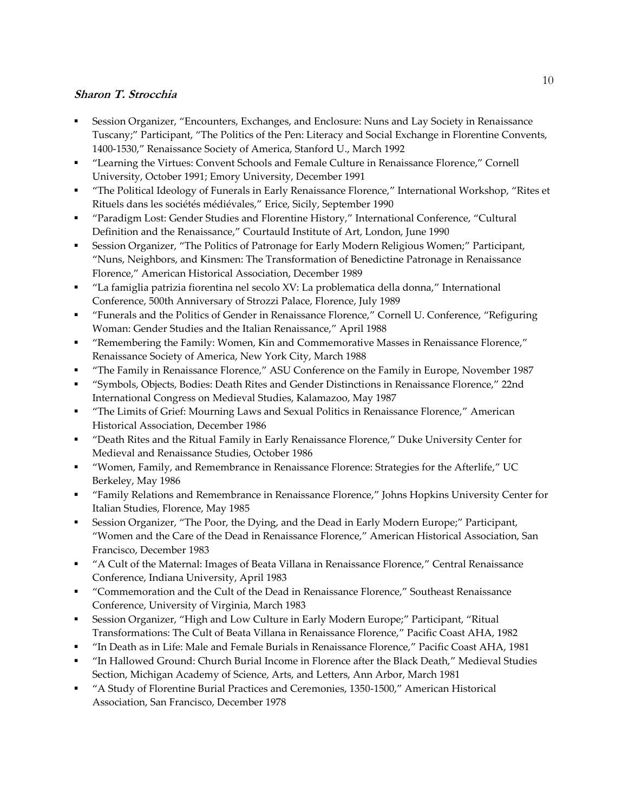- Session Organizer, "Encounters, Exchanges, and Enclosure: Nuns and Lay Society in Renaissance Tuscany;" Participant, "The Politics of the Pen: Literacy and Social Exchange in Florentine Convents, 1400-1530," Renaissance Society of America, Stanford U., March 1992
- "Learning the Virtues: Convent Schools and Female Culture in Renaissance Florence," Cornell University, October 1991; Emory University, December 1991
- "The Political Ideology of Funerals in Early Renaissance Florence," International Workshop, "Rites et Rituels dans les sociétés médiévales," Erice, Sicily, September 1990
- "Paradigm Lost: Gender Studies and Florentine History," International Conference, "Cultural Definition and the Renaissance," Courtauld Institute of Art, London, June 1990
- Session Organizer, "The Politics of Patronage for Early Modern Religious Women;" Participant, "Nuns, Neighbors, and Kinsmen: The Transformation of Benedictine Patronage in Renaissance Florence," American Historical Association, December 1989
- "La famiglia patrizia fiorentina nel secolo XV: La problematica della donna," International Conference, 500th Anniversary of Strozzi Palace, Florence, July 1989
- "Funerals and the Politics of Gender in Renaissance Florence," Cornell U. Conference, "Refiguring Woman: Gender Studies and the Italian Renaissance," April 1988
- "Remembering the Family: Women, Kin and Commemorative Masses in Renaissance Florence," Renaissance Society of America, New York City, March 1988
- "The Family in Renaissance Florence," ASU Conference on the Family in Europe, November 1987
- "Symbols, Objects, Bodies: Death Rites and Gender Distinctions in Renaissance Florence," 22nd International Congress on Medieval Studies, Kalamazoo, May 1987
- "The Limits of Grief: Mourning Laws and Sexual Politics in Renaissance Florence," American Historical Association, December 1986
- "Death Rites and the Ritual Family in Early Renaissance Florence," Duke University Center for Medieval and Renaissance Studies, October 1986
- "Women, Family, and Remembrance in Renaissance Florence: Strategies for the Afterlife," UC Berkeley, May 1986
- "Family Relations and Remembrance in Renaissance Florence," Johns Hopkins University Center for Italian Studies, Florence, May 1985
- Session Organizer, "The Poor, the Dying, and the Dead in Early Modern Europe;" Participant, "Women and the Care of the Dead in Renaissance Florence," American Historical Association, San Francisco, December 1983
- "A Cult of the Maternal: Images of Beata Villana in Renaissance Florence," Central Renaissance Conference, Indiana University, April 1983
- "Commemoration and the Cult of the Dead in Renaissance Florence," Southeast Renaissance Conference, University of Virginia, March 1983
- Session Organizer, "High and Low Culture in Early Modern Europe;" Participant, "Ritual Transformations: The Cult of Beata Villana in Renaissance Florence," Pacific Coast AHA, 1982
- "In Death as in Life: Male and Female Burials in Renaissance Florence," Pacific Coast AHA, 1981
- "In Hallowed Ground: Church Burial Income in Florence after the Black Death," Medieval Studies Section, Michigan Academy of Science, Arts, and Letters, Ann Arbor, March 1981
- "A Study of Florentine Burial Practices and Ceremonies, 1350-1500," American Historical Association, San Francisco, December 1978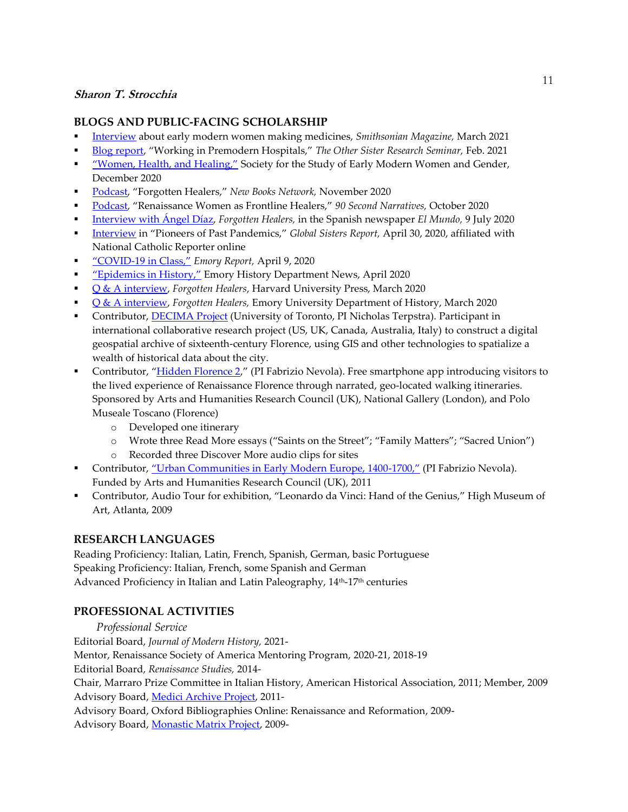### **BLOGS AND PUBLIC-FACING SCHOLARSHIP**

- Interview about early modern women making medicines, *Smithsonian Magazine,* March 2021
- Blog report, "Working in Premodern Hospitals," *The Other Sister Research Seminar,* Feb. 2021
- "Women, Health, and Healing," Society for the Study of Early Modern Women and Gender, December 2020
- Podcast, "Forgotten Healers," *New Books Network,* November 2020
- Podcast, "Renaissance Women as Frontline Healers," *90 Second Narratives,* October 2020
- Interview with Ángel Díaz, *Forgotten Healers,* in the Spanish newspaper *El Mundo,* 9 July 2020
- Interview in "Pioneers of Past Pandemics," *Global Sisters Report,* April 30, 2020, affiliated with National Catholic Reporter online
- "COVID-19 in Class," *Emory Report,* April 9, 2020
- "Epidemics in History," Emory History Department News, April 2020
- Q & A interview, *Forgotten Healers*, Harvard University Press, March 2020
- Q & A interview, *Forgotten Healers,* Emory University Department of History, March 2020
- Contributor, DECIMA Project (University of Toronto, PI Nicholas Terpstra). Participant in international collaborative research project (US, UK, Canada, Australia, Italy) to construct a digital geospatial archive of sixteenth-century Florence, using GIS and other technologies to spatialize a wealth of historical data about the city.
- Contributor, "Hidden Florence 2," (PI Fabrizio Nevola). Free smartphone app introducing visitors to the lived experience of Renaissance Florence through narrated, geo-located walking itineraries. Sponsored by Arts and Humanities Research Council (UK), National Gallery (London), and Polo Museale Toscano (Florence)
	- o Developed one itinerary
	- o Wrote three Read More essays ("Saints on the Street"; "Family Matters"; "Sacred Union")
	- o Recorded three Discover More audio clips for sites
- Contributor, "Urban Communities in Early Modern Europe, 1400-1700," (PI Fabrizio Nevola). Funded by Arts and Humanities Research Council (UK), 2011
- Contributor, Audio Tour for exhibition, "Leonardo da Vinci: Hand of the Genius," High Museum of Art, Atlanta, 2009

# **RESEARCH LANGUAGES**

Reading Proficiency: Italian, Latin, French, Spanish, German, basic Portuguese Speaking Proficiency: Italian, French, some Spanish and German Advanced Proficiency in Italian and Latin Paleography, 14<sup>th</sup>-17<sup>th</sup> centuries

# **PROFESSIONAL ACTIVITIES**

 *Professional Service* Editorial Board, *Journal of Modern History,* 2021- Mentor, Renaissance Society of America Mentoring Program, 2020-21, 2018-19 Editorial Board, *Renaissance Studies,* 2014- Chair, Marraro Prize Committee in Italian History, American Historical Association, 2011; Member, 2009 Advisory Board, Medici Archive Project, 2011-Advisory Board, Oxford Bibliographies Online: Renaissance and Reformation, 2009- Advisory Board, Monastic Matrix Project, 2009-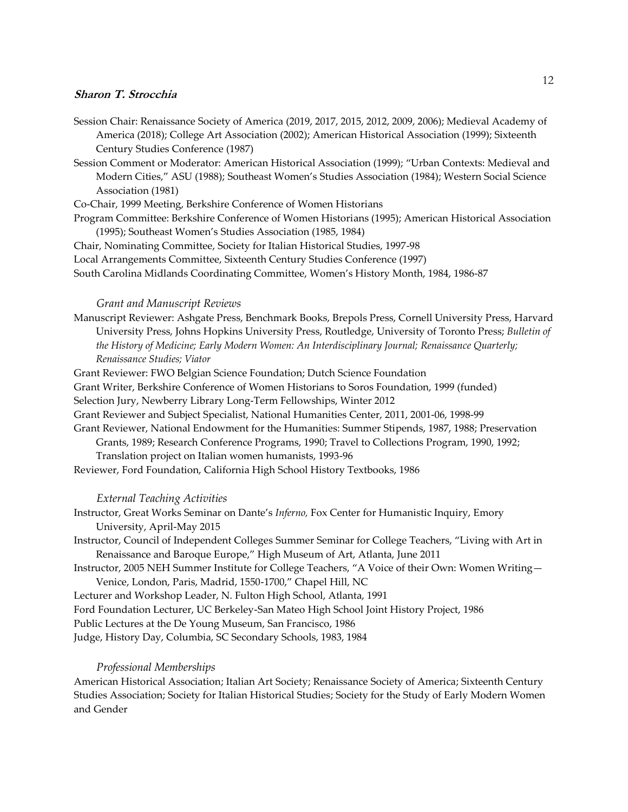- Session Chair: Renaissance Society of America (2019, 2017, 2015, 2012, 2009, 2006); Medieval Academy of America (2018); College Art Association (2002); American Historical Association (1999); Sixteenth Century Studies Conference (1987)
- Session Comment or Moderator: American Historical Association (1999); "Urban Contexts: Medieval and Modern Cities," ASU (1988); Southeast Women's Studies Association (1984); Western Social Science Association (1981)

Co-Chair, 1999 Meeting, Berkshire Conference of Women Historians

- Program Committee: Berkshire Conference of Women Historians (1995); American Historical Association (1995); Southeast Women's Studies Association (1985, 1984)
- Chair, Nominating Committee, Society for Italian Historical Studies, 1997-98
- Local Arrangements Committee, Sixteenth Century Studies Conference (1997)

South Carolina Midlands Coordinating Committee, Women's History Month, 1984, 1986-87

#### *Grant and Manuscript Reviews*

Manuscript Reviewer: Ashgate Press, Benchmark Books, Brepols Press, Cornell University Press, Harvard University Press, Johns Hopkins University Press, Routledge, University of Toronto Press; *Bulletin of the History of Medicine; Early Modern Women: An Interdisciplinary Journal; Renaissance Quarterly; Renaissance Studies; Viator*

Grant Reviewer: FWO Belgian Science Foundation; Dutch Science Foundation

- Grant Writer, Berkshire Conference of Women Historians to Soros Foundation, 1999 (funded)
- Selection Jury, Newberry Library Long-Term Fellowships, Winter 2012
- Grant Reviewer and Subject Specialist, National Humanities Center, 2011, 2001-06, 1998-99
- Grant Reviewer, National Endowment for the Humanities: Summer Stipends, 1987, 1988; Preservation Grants, 1989; Research Conference Programs, 1990; Travel to Collections Program, 1990, 1992; Translation project on Italian women humanists, 1993-96

Reviewer, Ford Foundation, California High School History Textbooks, 1986

#### *External Teaching Activities*

| Instructor, Great Works Seminar on Dante's Inferno, Fox Center for Humanistic Inquiry, Emory |  |  |
|----------------------------------------------------------------------------------------------|--|--|
| University, April-May 2015                                                                   |  |  |

Instructor, Council of Independent Colleges Summer Seminar for College Teachers, "Living with Art in Renaissance and Baroque Europe," High Museum of Art, Atlanta, June 2011

Instructor, 2005 NEH Summer Institute for College Teachers, "A Voice of their Own: Women Writing— Venice, London, Paris, Madrid, 1550-1700," Chapel Hill, NC

Lecturer and Workshop Leader, N. Fulton High School, Atlanta, 1991

Ford Foundation Lecturer, UC Berkeley-San Mateo High School Joint History Project, 1986

Public Lectures at the De Young Museum, San Francisco, 1986

Judge, History Day, Columbia, SC Secondary Schools, 1983, 1984

#### *Professional Memberships*

American Historical Association; Italian Art Society; Renaissance Society of America; Sixteenth Century Studies Association; Society for Italian Historical Studies; Society for the Study of Early Modern Women and Gender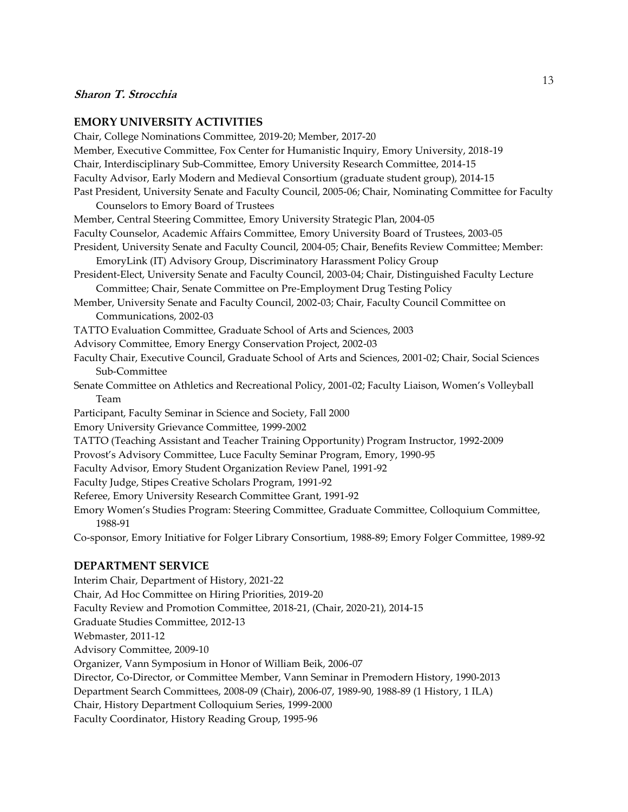#### **EMORY UNIVERSITY ACTIVITIES**

Chair, College Nominations Committee, 2019-20; Member, 2017-20 Member, Executive Committee, Fox Center for Humanistic Inquiry, Emory University, 2018-19 Chair, Interdisciplinary Sub-Committee, Emory University Research Committee, 2014-15 Faculty Advisor, Early Modern and Medieval Consortium (graduate student group), 2014-15 Past President, University Senate and Faculty Council, 2005-06; Chair, Nominating Committee for Faculty Counselors to Emory Board of Trustees Member, Central Steering Committee, Emory University Strategic Plan, 2004-05 Faculty Counselor, Academic Affairs Committee, Emory University Board of Trustees, 2003-05 President, University Senate and Faculty Council, 2004-05; Chair, Benefits Review Committee; Member: EmoryLink (IT) Advisory Group, Discriminatory Harassment Policy Group President-Elect, University Senate and Faculty Council, 2003-04; Chair, Distinguished Faculty Lecture Committee; Chair, Senate Committee on Pre-Employment Drug Testing Policy Member, University Senate and Faculty Council, 2002-03; Chair, Faculty Council Committee on Communications, 2002-03 TATTO Evaluation Committee, Graduate School of Arts and Sciences, 2003 Advisory Committee, Emory Energy Conservation Project, 2002-03 Faculty Chair, Executive Council, Graduate School of Arts and Sciences, 2001-02; Chair, Social Sciences Sub-Committee Senate Committee on Athletics and Recreational Policy, 2001-02; Faculty Liaison, Women's Volleyball Team Participant, Faculty Seminar in Science and Society, Fall 2000 Emory University Grievance Committee, 1999-2002 TATTO (Teaching Assistant and Teacher Training Opportunity) Program Instructor, 1992-2009 Provost's Advisory Committee, Luce Faculty Seminar Program, Emory, 1990-95 Faculty Advisor, Emory Student Organization Review Panel, 1991-92 Faculty Judge, Stipes Creative Scholars Program, 1991-92 Referee, Emory University Research Committee Grant, 1991-92 Emory Women's Studies Program: Steering Committee, Graduate Committee, Colloquium Committee, 1988-91 Co-sponsor, Emory Initiative for Folger Library Consortium, 1988-89; Emory Folger Committee, 1989-92

### **DEPARTMENT SERVICE**

Interim Chair, Department of History, 2021-22 Chair, Ad Hoc Committee on Hiring Priorities, 2019-20 Faculty Review and Promotion Committee, 2018-21, (Chair, 2020-21), 2014-15 Graduate Studies Committee, 2012-13 Webmaster, 2011-12 Advisory Committee, 2009-10 Organizer, Vann Symposium in Honor of William Beik, 2006-07 Director, Co-Director, or Committee Member, Vann Seminar in Premodern History, 1990-2013 Department Search Committees, 2008-09 (Chair), 2006-07, 1989-90, 1988-89 (1 History, 1 ILA) Chair, History Department Colloquium Series, 1999-2000 Faculty Coordinator, History Reading Group, 1995-96